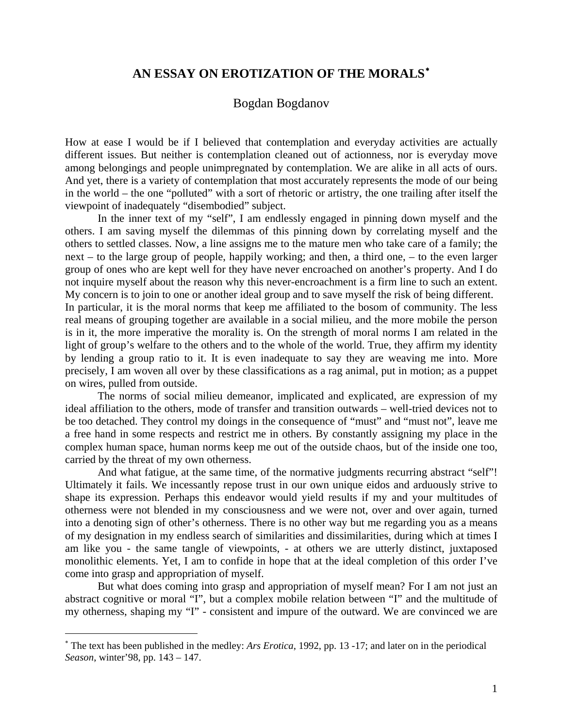## **AN ESSAY ON EROTIZATION OF THE MORALS**[∗](#page-0-0)

## Bogdan Bogdanov

How at ease I would be if I believed that contemplation and everyday activities are actually different issues. But neither is contemplation cleaned out of actionness, nor is everyday move among belongings and people unimpregnated by contemplation. We are alike in all acts of ours. And yet, there is a variety of contemplation that most accurately represents the mode of our being in the world – the one "polluted" with a sort of rhetoric or artistry, the one trailing after itself the viewpoint of inadequately "disembodied" subject.

In the inner text of my "self", I am endlessly engaged in pinning down myself and the others. I am saving myself the dilemmas of this pinning down by correlating myself and the others to settled classes. Now, a line assigns me to the mature men who take care of a family; the next – to the large group of people, happily working; and then, a third one, – to the even larger group of ones who are kept well for they have never encroached on another's property. And I do not inquire myself about the reason why this never-encroachment is a firm line to such an extent. My concern is to join to one or another ideal group and to save myself the risk of being different. In particular, it is the moral norms that keep me affiliated to the bosom of community. The less real means of grouping together are available in a social milieu, and the more mobile the person is in it, the more imperative the morality is. On the strength of moral norms I am related in the light of group's welfare to the others and to the whole of the world. True, they affirm my identity by lending a group ratio to it. It is even inadequate to say they are weaving me into. More precisely, I am woven all over by these classifications as a rag animal, put in motion; as a puppet on wires, pulled from outside.

The norms of social milieu demeanor, implicated and explicated, are expression of my ideal affiliation to the others, mode of transfer and transition outwards – well-tried devices not to be too detached. They control my doings in the consequence of "must" and "must not", leave me a free hand in some respects and restrict me in others. By constantly assigning my place in the complex human space, human norms keep me out of the outside chaos, but of the inside one too, carried by the threat of my own otherness.

And what fatigue, at the same time, of the normative judgments recurring abstract "self"! Ultimately it fails. We incessantly repose trust in our own unique eidos and arduously strive to shape its expression. Perhaps this endeavor would yield results if my and your multitudes of otherness were not blended in my consciousness and we were not, over and over again, turned into a denoting sign of other's otherness. There is no other way but me regarding you as a means of my designation in my endless search of similarities and dissimilarities, during which at times I am like you - the same tangle of viewpoints, - at others we are utterly distinct, juxtaposed monolithic elements. Yet, I am to confide in hope that at the ideal completion of this order I've come into grasp and appropriation of myself.

But what does coming into grasp and appropriation of myself mean? For I am not just an abstract cognitive or moral "I", but a complex mobile relation between "I" and the multitude of my otherness, shaping my "I" - consistent and impure of the outward. We are convinced we are

1

<span id="page-0-0"></span><sup>∗</sup> The text has been published in the medley: *Ars Erotica*, 1992, pp. 13 -17; and later on in the periodical *Season*, winter'98, pp. 143 – 147.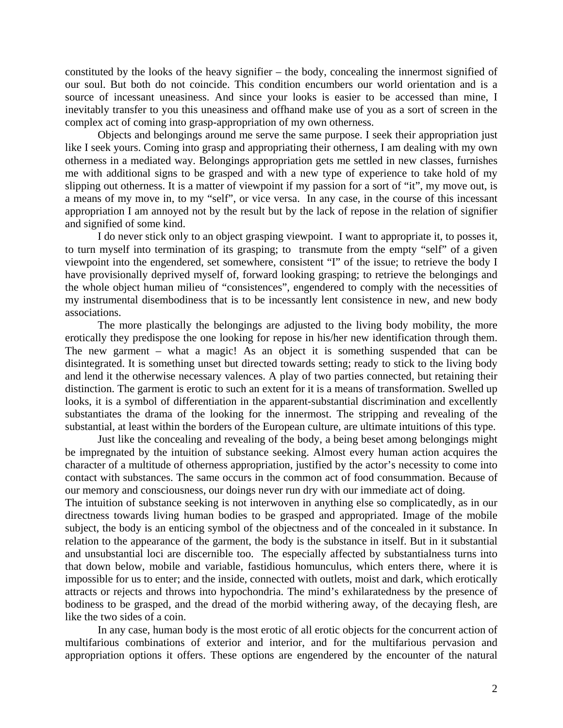constituted by the looks of the heavy signifier – the body, concealing the innermost signified of our soul. But both do not coincide. This condition encumbers our world orientation and is a source of incessant uneasiness. And since your looks is easier to be accessed than mine, I inevitably transfer to you this uneasiness and offhand make use of you as a sort of screen in the complex act of coming into grasp-appropriation of my own otherness.

Objects and belongings around me serve the same purpose. I seek their appropriation just like I seek yours. Coming into grasp and appropriating their otherness, I am dealing with my own otherness in a mediated way. Belongings appropriation gets me settled in new classes, furnishes me with additional signs to be grasped and with a new type of experience to take hold of my slipping out otherness. It is a matter of viewpoint if my passion for a sort of "it", my move out, is a means of my move in, to my "self", or vice versa. In any case, in the course of this incessant appropriation I am annoyed not by the result but by the lack of repose in the relation of signifier and signified of some kind.

I do never stick only to an object grasping viewpoint. I want to appropriate it, to posses it, to turn myself into termination of its grasping; to transmute from the empty "self" of a given viewpoint into the engendered, set somewhere, consistent "I" of the issue; to retrieve the body I have provisionally deprived myself of, forward looking grasping; to retrieve the belongings and the whole object human milieu of "consistences", engendered to comply with the necessities of my instrumental disembodiness that is to be incessantly lent consistence in new, and new body associations.

The more plastically the belongings are adjusted to the living body mobility, the more erotically they predispose the one looking for repose in his/her new identification through them. The new garment – what a magic! As an object it is something suspended that can be disintegrated. It is something unset but directed towards setting; ready to stick to the living body and lend it the otherwise necessary valences. A play of two parties connected, but retaining their distinction. The garment is erotic to such an extent for it is a means of transformation. Swelled up looks, it is a symbol of differentiation in the apparent-substantial discrimination and excellently substantiates the drama of the looking for the innermost. The stripping and revealing of the substantial, at least within the borders of the European culture, are ultimate intuitions of this type.

Just like the concealing and revealing of the body, a being beset among belongings might be impregnated by the intuition of substance seeking. Almost every human action acquires the character of a multitude of otherness appropriation, justified by the actor's necessity to come into contact with substances. The same occurs in the common act of food consummation. Because of our memory and consciousness, our doings never run dry with our immediate act of doing.

The intuition of substance seeking is not interwoven in anything else so complicatedly, as in our directness towards living human bodies to be grasped and appropriated. Image of the mobile subject, the body is an enticing symbol of the objectness and of the concealed in it substance. In relation to the appearance of the garment, the body is the substance in itself. But in it substantial and unsubstantial loci are discernible too. The especially affected by substantialness turns into that down below, mobile and variable, fastidious homunculus, which enters there, where it is impossible for us to enter; and the inside, connected with outlets, moist and dark, which erotically attracts or rejects and throws into hypochondria. The mind's exhilaratedness by the presence of bodiness to be grasped, and the dread of the morbid withering away, of the decaying flesh, are like the two sides of a coin.

In any case, human body is the most erotic of all erotic objects for the concurrent action of multifarious combinations of exterior and interior, and for the multifarious pervasion and appropriation options it offers. These options are engendered by the encounter of the natural